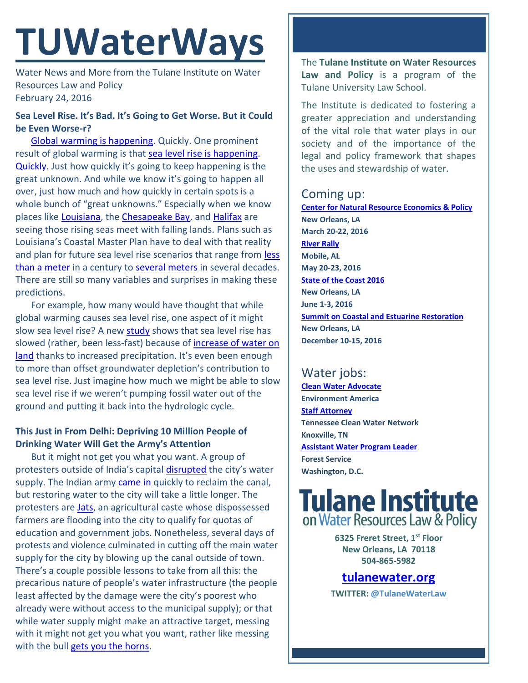# **TUWaterWays**

Water News and More from the Tulane Institute on Water Resources Law and Policy February 24, 2016

### **Sea Level Rise. It's Bad. It's Going to Get Worse. But it Could be Even Worse-r?**

[Global warming is happening.](https://www.ipcc.ch/report/ar5/) Quickly. One prominent result of global warming is that [sea level rise is happening.](https://www.washingtonpost.com/news/energy-environment/wp/2016/02/22/seas-are-now-rising-faster-than-they-have-in-2800-years-scientists-say/?postshare=2741456178146399&tid=ss_tw) [Quickly](http://www.pnas.org/content/early/2016/02/17/1517056113). Just how quickly it's going to keep happening is the great unknown. And while we know it's going to happen all over, just how much and how quickly in certain spots is a whole bunch of "great unknowns." Especially when we know places like [Louisiana,](http://www.nola.com/futureofneworleans/2015/08/rapidly_rising_sea_level_threa.html#incart_article_small) the [Chesapeake Bay,](http://blogs.agu.org/wildwildscience/2015/07/29/usgs-the-chesapeake-bay-region-is-sinking-while-the-sea-rises/) and [Halifax](http://www.cbc.ca/news/canada/nova-scotia/halifax-dingle-seawall-1.3450548) are seeing those rising seas meet with falling lands. Plans such as Louisiana's Coastal Master Plan have to deal with that reality and plan for future sea level rise scenarios that range from [less](https://www.ipcc.ch/pdf/unfccc/cop19/3_gregory13sbsta.pdf)  [than a meter](https://www.ipcc.ch/pdf/unfccc/cop19/3_gregory13sbsta.pdf) in a century to [several meters](http://www.columbia.edu/~jeh1/mailings/2015/20150727_SeaLevelDisaster.pdf) in several decades. There are still so many variables and surprises in making these predictions.

For example, how many would have thought that while global warming causes sea level rise, one aspect of it might slow sea level rise? A new **study** shows that sea level rise has slowed (rather, been less-fast) because of [increase of water on](https://www.nasa.gov/press-release/nasa-university-study-shows-rising-seas-slowed-by-increasing-water-on-land)  [land](https://www.nasa.gov/press-release/nasa-university-study-shows-rising-seas-slowed-by-increasing-water-on-land) thanks to increased precipitation. It's even been enough to more than offset groundwater depletion's contribution to sea level rise. Just imagine how much we might be able to slow sea level rise if we weren't pumping fossil water out of the ground and putting it back into the hydrologic cycle.

### **This Just in From Delhi: Depriving 10 Million People of Drinking Water Will Get the Army's Attention**

But it might not get you what you want. A group of protesters outside of India's capital [disrupted](http://www.hindustantimes.com/delhi/jat-stir-damage-to-munak-canal-highlights-delhi-s-water-vulnerability/story-I2Zo5ORKFluPdjeJAAvctO.html) the city's water supply. The Indian army [came in](http://www.bbc.com/news/world-asia-india-35638161) quickly to reclaim the canal, but restoring water to the city will take a little longer. The protesters are **Jats**, an agricultural caste whose dispossessed farmers are flooding into the city to qualify for quotas of education and government jobs. Nonetheless, several days of protests and violence culminated in cutting off the main water supply for the city by blowing up the canal outside of town. There's a couple possible lessons to take from all this: the precarious nature of people's water infrastructure (the people least affected by the damage were the city's poorest who already were without access to the municipal supply); or that while water supply might make an attractive target, messing with it might not get you what you want, rather like messing with the bull [gets you the horns.](https://4.bp.blogspot.com/_El0Fwft1WFw/TTBmbprJBbI/AAAAAAAAANQ/DzqKYIVD2Ek/s1600/BreakfastClub.jpg)

The **Tulane Institute on Water Resources Law and Policy** is a program of the Tulane University Law School.

The Institute is dedicated to fostering a greater appreciation and understanding of the vital role that water plays in our society and of the importance of the legal and policy framework that shapes the uses and stewardship of water.

### Coming up:

**[Center for Natural Resource Economics & Policy](http://www.cnrep.lsu.edu/2016/) New Orleans, LA March 20-22, 2016 [River Rally](https://www.rivernetwork.org/events-learning/river-rally/about/) Mobile, AL May 20-23, 2016 [State of the Coast 2016](http://stateofthecoast.org/) New Orleans, LA June 1-3, 2016 [Summit on Coastal and Estuarine Restoration](https://www.estuaries.org/images/NOLA_2016/2016-Summit-CFP_FINAL-011516.pdf) New Orleans, LA December 10-15, 2016**

# Water jobs:

**[Clean Water Advocate](http://jobs.environmentamerica.org/clean-water-advocate.html) Environment America [Staff Attorney](http://www.tcwn.org/job-opening-staff-attorney/) Tennessee Clean Water Network Knoxville, TN [Assistant Water Program Leader](http://www.fishwildlife.org/files/Assistant_Water_PL_Outreach_Jan2016.pdf) Forest Service Washington, D.C.**

# **Tulane Institute** on Water Resources Law & Policy

**6325 Freret Street, 1st Floor New Orleans, LA 70118 504-865-5982** 

## **[tulanewater.org](file:///C:/Users/waterlaw/Downloads/tulanewater.org)**

**TWITTER: [@TulaneWaterLaw](http://www.twitter.com/TulaneWaterLaw)**